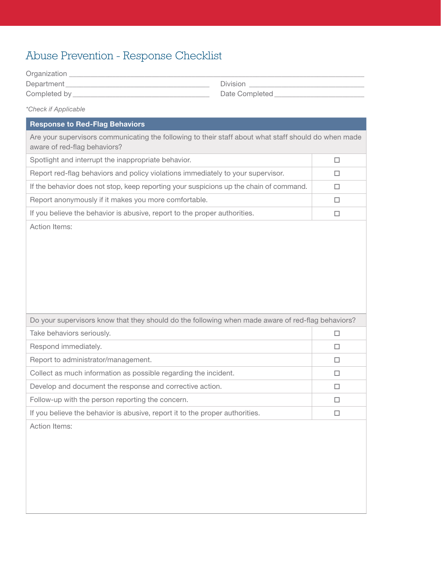## Abuse Prevention - Response Checklist

| Organization |                |
|--------------|----------------|
| Department_  | Division       |
| Completed by | Date Completed |
|              |                |

## *\*Check if Applicable*

## Response to Red-Flag Behaviors Are your supervisors communicating the following to their staff about what staff should do when made aware of red-flag behaviors? Spotlight and interrupt the inappropriate behavior.  $\Box$ Report red-flag behaviors and policy violations immediately to your supervisor.  $\Box$ If the behavior does not stop, keep reporting your suspicions up the chain of command.  $\Box$ Report anonymously if it makes you more comfortable.  $\Box$ If you believe the behavior is abusive, report to the proper authorities.  $\Box$ Action Items: Do your supervisors know that they should do the following when made aware of red-flag behaviors? Take behaviors seriously.  $\square$ Respond immediately.  $\square$ Report to administrator/management.  $\square$ Collect as much information as possible regarding the incident.  $\Box$ Develop and document the response and corrective action.  $\Box$ Follow-up with the person reporting the concern.  $\Box$ If you believe the behavior is abusive, report it to the proper authorities.  $\square$ Action Items: